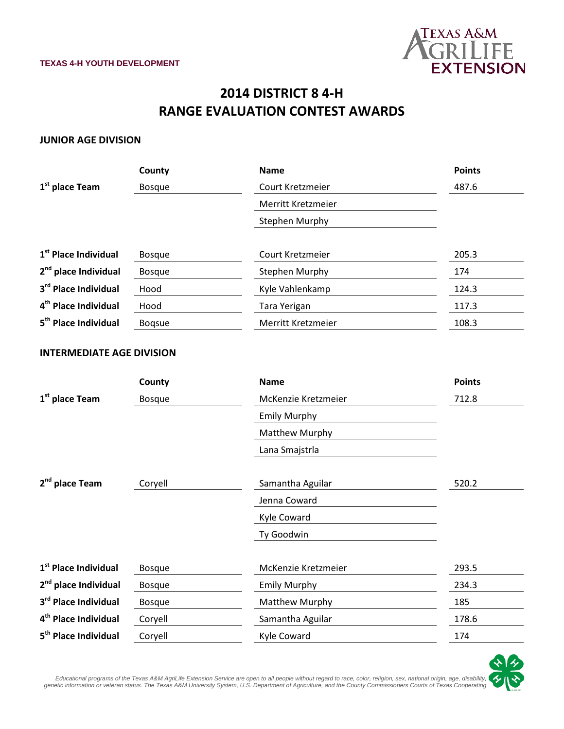

## **2014 DISTRICT 8 4-H RANGE EVALUATION CONTEST AWARDS**

## **JUNIOR AGE DIVISION**

|                                  | County        | <b>Name</b>           | <b>Points</b> |
|----------------------------------|---------------|-----------------------|---------------|
| $1st$ place Team                 | <b>Bosque</b> | Court Kretzmeier      | 487.6         |
|                                  |               | Merritt Kretzmeier    |               |
|                                  |               | <b>Stephen Murphy</b> |               |
| 1 <sup>st</sup> Place Individual |               | Court Kretzmeier      |               |
|                                  | <b>Bosque</b> |                       | 205.3         |
| 2 <sup>nd</sup> place Individual | <b>Bosque</b> | <b>Stephen Murphy</b> | 174           |
| 3rd Place Individual             | Hood          | Kyle Vahlenkamp       | 124.3         |
| 4 <sup>th</sup> Place Individual | Hood          | Tara Yerigan          | 117.3         |
| 5 <sup>th</sup> Place Individual | <b>Bogsue</b> | Merritt Kretzmeier    | 108.3         |

## **INTERMEDIATE AGE DIVISION**

|                                  | County        | <b>Name</b>         | <b>Points</b> |
|----------------------------------|---------------|---------------------|---------------|
| 1 <sup>st</sup> place Team       | <b>Bosque</b> | McKenzie Kretzmeier | 712.8         |
|                                  |               | <b>Emily Murphy</b> |               |
|                                  |               | Matthew Murphy      |               |
|                                  |               | Lana Smajstrla      |               |
| 2 <sup>nd</sup> place Team       | Coryell       | Samantha Aguilar    | 520.2         |
|                                  |               | Jenna Coward        |               |
|                                  |               | Kyle Coward         |               |
|                                  |               | Ty Goodwin          |               |
| 1 <sup>st</sup> Place Individual | <b>Bosque</b> | McKenzie Kretzmeier | 293.5         |
| 2 <sup>nd</sup> place Individual | <b>Bosque</b> | <b>Emily Murphy</b> | 234.3         |
| 3 <sup>rd</sup> Place Individual | <b>Bosque</b> | Matthew Murphy      | 185           |
| 4 <sup>th</sup> Place Individual | Coryell       | Samantha Aguilar    | 178.6         |
| 5 <sup>th</sup> Place Individual | Coryell       | Kyle Coward         | 174           |



,Educational programs of the Texas A&M AgriLife Extension Service are open to all people without regard to race, color, religion, sex, national origin, age, disability<br>genetic information or veteran status. The Texas A&M U